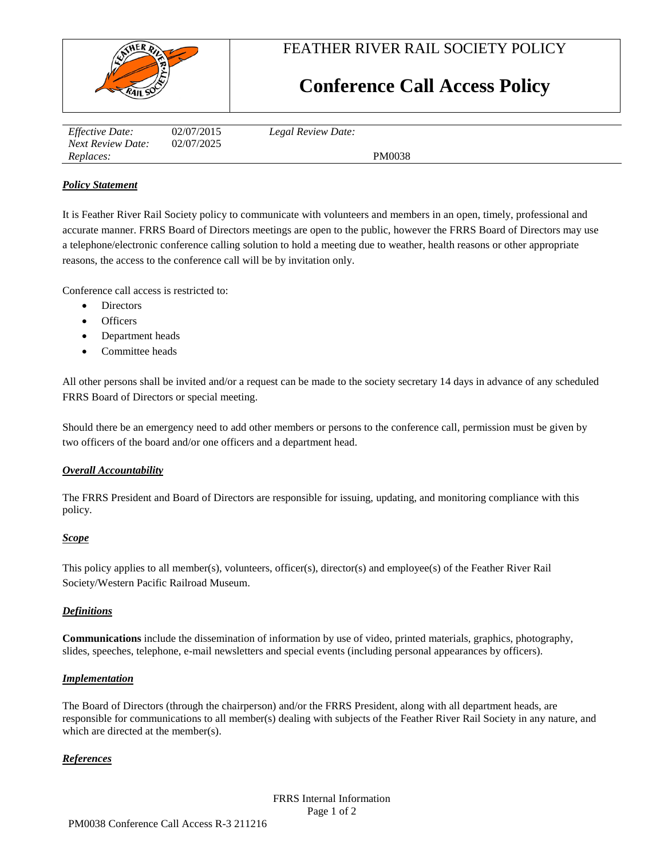

FEATHER RIVER RAIL SOCIETY POLICY

# **Conference Call Access Policy**

| <i>Effective Date:</i> | 02/07/2015 | Legal Review Date: |
|------------------------|------------|--------------------|
| Next Review Date:      | 02/07/2025 |                    |
| Replaces:              |            | PM0038             |

### *Policy Statement*

It is Feather River Rail Society policy to communicate with volunteers and members in an open, timely, professional and accurate manner. FRRS Board of Directors meetings are open to the public, however the FRRS Board of Directors may use a telephone/electronic conference calling solution to hold a meeting due to weather, health reasons or other appropriate reasons, the access to the conference call will be by invitation only.

Conference call access is restricted to:

- Directors
- **Officers**
- Department heads
- Committee heads

All other persons shall be invited and/or a request can be made to the society secretary 14 days in advance of any scheduled FRRS Board of Directors or special meeting.

Should there be an emergency need to add other members or persons to the conference call, permission must be given by two officers of the board and/or one officers and a department head.

#### *Overall Accountability*

The FRRS President and Board of Directors are responsible for issuing, updating, and monitoring compliance with this policy.

#### *Scope*

This policy applies to all member(s), volunteers, officer(s), director(s) and employee(s) of the Feather River Rail Society/Western Pacific Railroad Museum.

#### *Definitions*

**Communications** include the dissemination of information by use of video, printed materials, graphics, photography, slides, speeches, telephone, e-mail newsletters and special events (including personal appearances by officers).

#### *Implementation*

The Board of Directors (through the chairperson) and/or the FRRS President, along with all department heads, are responsible for communications to all member(s) dealing with subjects of the Feather River Rail Society in any nature, and which are directed at the member(s).

#### *References*